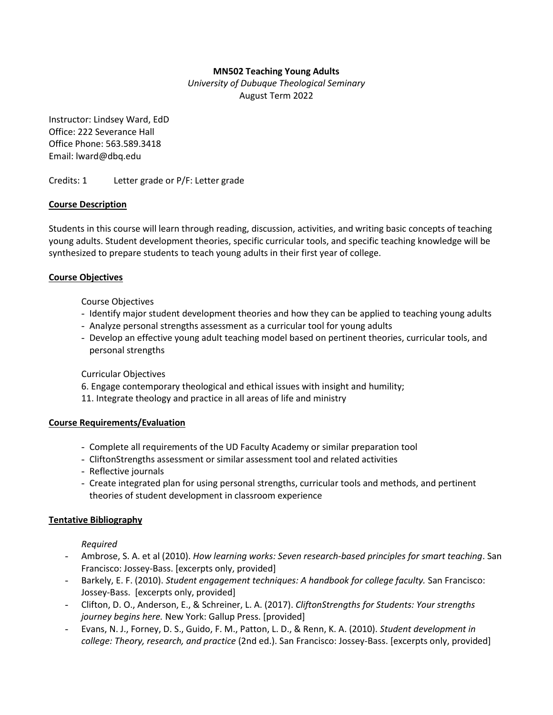## **MN502 Teaching Young Adults**

*University of Dubuque Theological Seminary* August Term 2022

Instructor: Lindsey Ward, EdD Office: 222 Severance Hall Office Phone: 563.589.3418 Email: lward@dbq.edu

Credits: 1 Letter grade or P/F: Letter grade

### **Course Description**

Students in this course will learn through reading, discussion, activities, and writing basic concepts of teaching young adults. Student development theories, specific curricular tools, and specific teaching knowledge will be synthesized to prepare students to teach young adults in their first year of college.

### **Course Objectives**

Course Objectives

- Identify major student development theories and how they can be applied to teaching young adults
- Analyze personal strengths assessment as a curricular tool for young adults
- Develop an effective young adult teaching model based on pertinent theories, curricular tools, and personal strengths

Curricular Objectives

6. Engage contemporary theological and ethical issues with insight and humility;

11. Integrate theology and practice in all areas of life and ministry

### **Course Requirements/Evaluation**

- Complete all requirements of the UD Faculty Academy or similar preparation tool
- CliftonStrengths assessment or similar assessment tool and related activities
- Reflective journals
- Create integrated plan for using personal strengths, curricular tools and methods, and pertinent theories of student development in classroom experience

### **Tentative Bibliography**

*Required*

- Ambrose, S. A. et al (2010). *How learning works: Seven research-based principles for smart teaching*. San Francisco: Jossey-Bass. [excerpts only, provided]
- Barkely, E. F. (2010). *Student engagement techniques: A handbook for college faculty.* San Francisco: Jossey-Bass. [excerpts only, provided]
- Clifton, D. O., Anderson, E., & Schreiner, L. A. (2017). *CliftonStrengths for Students: Your strengths journey begins here.* New York: Gallup Press. [provided]
- Evans, N. J., Forney, D. S., Guido, F. M., Patton, L. D., & Renn, K. A. (2010). *Student development in college: Theory, research, and practice* (2nd ed.). San Francisco: Jossey-Bass. [excerpts only, provided]